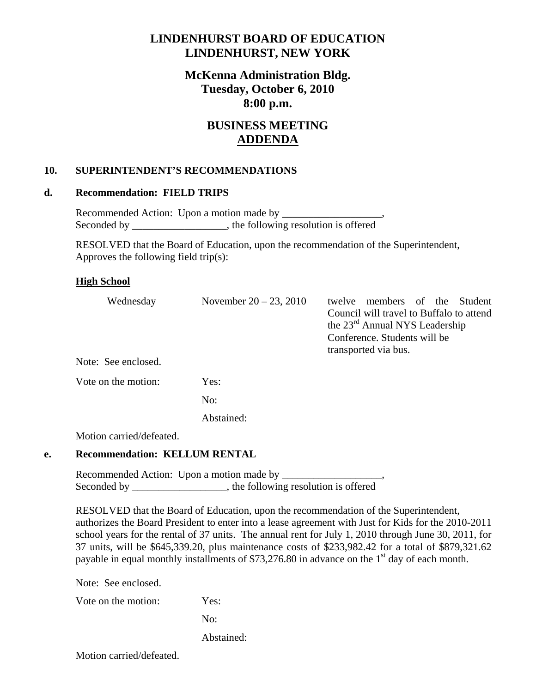## **LINDENHURST BOARD OF EDUCATION LINDENHURST, NEW YORK**

## **McKenna Administration Bldg. Tuesday, October 6, 2010 8:00 p.m.**

# **BUSINESS MEETING ADDENDA**

### **10. SUPERINTENDENT'S RECOMMENDATIONS**

#### **d. Recommendation: FIELD TRIPS**

 Recommended Action: Upon a motion made by \_\_\_\_\_\_\_\_\_\_\_\_\_\_\_\_\_\_\_, Seconded by \_\_\_\_\_\_\_\_\_\_\_\_\_\_\_, the following resolution is offered

 RESOLVED that the Board of Education, upon the recommendation of the Superintendent, Approves the following field trip(s):

#### **High School**

| Wednesday           | November $20 - 23$ , 2010 | members of the<br>Student<br>twelve<br>Council will travel to Buffalo to attend<br>the 23 <sup>rd</sup> Annual NYS Leadership<br>Conference. Students will be<br>transported via bus. |
|---------------------|---------------------------|---------------------------------------------------------------------------------------------------------------------------------------------------------------------------------------|
| Note: See enclosed. |                           |                                                                                                                                                                                       |
| Vote on the motion: | Yes:                      |                                                                                                                                                                                       |
|                     | No:                       |                                                                                                                                                                                       |
|                     | Abstained:                |                                                                                                                                                                                       |
|                     |                           |                                                                                                                                                                                       |

Motion carried/defeated.

#### **e. Recommendation: KELLUM RENTAL**

 Recommended Action: Upon a motion made by \_\_\_\_\_\_\_\_\_\_\_\_\_\_\_\_\_\_\_, Seconded by \_\_\_\_\_\_\_\_\_\_\_\_\_\_\_, the following resolution is offered

 RESOLVED that the Board of Education, upon the recommendation of the Superintendent, authorizes the Board President to enter into a lease agreement with Just for Kids for the 2010-2011 school years for the rental of 37 units. The annual rent for July 1, 2010 through June 30, 2011, for 37 units, will be \$645,339.20, plus maintenance costs of \$233,982.42 for a total of \$879,321.62 payable in equal monthly installments of \$73,276.80 in advance on the  $1<sup>st</sup>$  day of each month.

Note: See enclosed.

Vote on the motion: Yes:

No:

Abstained:

Motion carried/defeated.